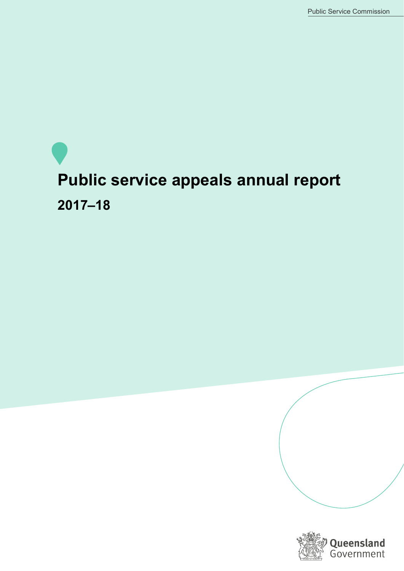# **Public service appeals annual report 2017–18**

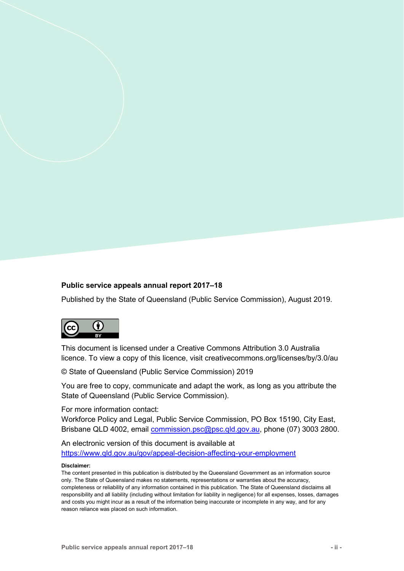#### **Public service appeals annual report 2017–18**

Published by the State of Queensland (Public Service Commission), August 2019.



This document is licensed under a Creative Commons Attribution 3.0 Australia licence. To view a copy of this licence, visit creativecommons.org/licenses/by/3.0/au

© State of Queensland (Public Service Commission) 2019

You are free to copy, communicate and adapt the work, as long as you attribute the State of Queensland (Public Service Commission).

For more information contact:

Workforce Policy and Legal, Public Service Commission, PO Box 15190, City East, Brisbane QLD 4002, email [commission.psc@psc.qld.gov.au,](mailto:commission.psc@psc.qld.gov.au) phone (07) 3003 2800.

An electronic version of this document is available at <https://www.qld.gov.au/gov/appeal-decision-affecting-your-employment>

#### **Disclaimer:**

The content presented in this publication is distributed by the Queensland Government as an information source only. The State of Queensland makes no statements, representations or warranties about the accuracy, completeness or reliability of any information contained in this publication. The State of Queensland disclaims all responsibility and all liability (including without limitation for liability in negligence) for all expenses, losses, damages and costs you might incur as a result of the information being inaccurate or incomplete in any way, and for any reason reliance was placed on such information.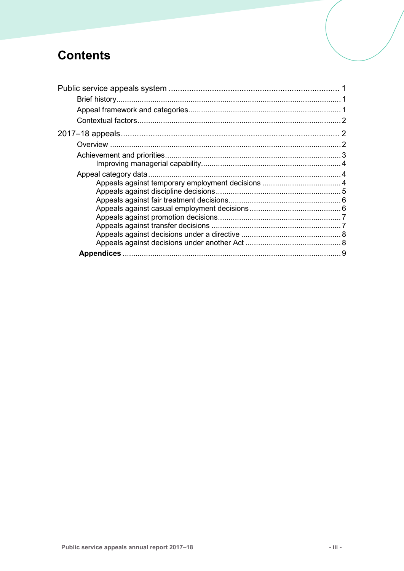# **Contents**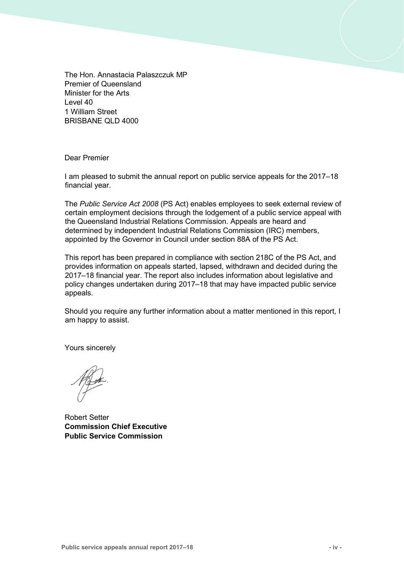The Hon. Annastacia Palaszczuk MP Premier of Queensland Minister for the Arts Level 40 1 William Street BRISBANE QLD 4000

Dear Premier

I am pleased to submit the annual report on public service appeals for the 2017–18 financial year.

The *Public Service Act 2008* (PS Act) enables employees to seek external review of certain employment decisions through the lodgement of a public service appeal with the Queensland Industrial Relations Commission. Appeals are heard and determined by independent Industrial Relations Commission (IRC) members, appointed by the Governor in Council under section 88A of the PS Act.

This report has been prepared in compliance with section 218C of the PS Act, and provides information on appeals started, lapsed, withdrawn and decided during the 2017–18 financial year. The report also includes information about legislative and policy changes undertaken during 2017–18 that may have impacted public service appeals.

Should you require any further information about a matter mentioned in this report, I am happy to assist.

Yours sincerely

Robert Setter **Commission Chief Executive Public Service Commission**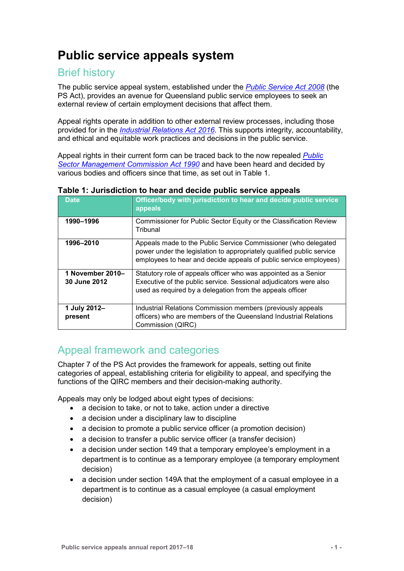## <span id="page-4-0"></span>**Public service appeals system**

## <span id="page-4-1"></span>Brief history

The public service appeal system, established under the *[Public Service Act 2008](https://www.legislation.qld.gov.au/view/html/inforce/current/act-2008-038)* (the PS Act), provides an avenue for Queensland public service employees to seek an external review of certain employment decisions that affect them.

Appeal rights operate in addition to other external review processes, including those provided for in the *[Industrial Relations Act 2016](https://www.legislation.qld.gov.au/view/html/inforce/current/act-2016-063)*. This supports integrity, accountability, and ethical and equitable work practices and decisions in the public service.

Appeal rights in their current form can be traced back to the now repealed *[Public](https://www.legislation.qld.gov.au/view/html/repealed/current/act-1990-005)  [Sector Management Commission Act 1990](https://www.legislation.qld.gov.au/view/html/repealed/current/act-1990-005)* and have been heard and decided by various bodies and officers since that time, as set out in Table 1.

| <b>Date</b>      | Officer/body with jurisdiction to hear and decide public service<br>appeals                                                                                                                                  |
|------------------|--------------------------------------------------------------------------------------------------------------------------------------------------------------------------------------------------------------|
| 1990-1996        | Commissioner for Public Sector Equity or the Classification Review<br>Tribunal                                                                                                                               |
| 1996-2010        | Appeals made to the Public Service Commissioner (who delegated<br>power under the legislation to appropriately qualified public service<br>employees to hear and decide appeals of public service employees) |
| 1 November 2010– | Statutory role of appeals officer who was appointed as a Senior                                                                                                                                              |
| 30 June 2012     | Executive of the public service. Sessional adjudicators were also                                                                                                                                            |
|                  | used as required by a delegation from the appeals officer                                                                                                                                                    |
| 1 July 2012-     | Industrial Relations Commission members (previously appeals                                                                                                                                                  |
| present          | officers) who are members of the Queensland Industrial Relations                                                                                                                                             |
|                  | Commission (QIRC)                                                                                                                                                                                            |

#### **Table 1: Jurisdiction to hear and decide public service appeals**

## <span id="page-4-2"></span>Appeal framework and categories

Chapter 7 of the PS Act provides the framework for appeals, setting out finite categories of appeal, establishing criteria for eligibility to appeal, and specifying the functions of the QIRC members and their decision-making authority.

Appeals may only be lodged about eight types of decisions:

- a decision to take, or not to take, action under a directive
- a decision under a disciplinary law to discipline
- a decision to promote a public service officer (a promotion decision)
- a decision to transfer a public service officer (a transfer decision)
- a decision under section 149 that a temporary employee's employment in a department is to continue as a temporary employee (a temporary employment decision)
- a decision under section 149A that the employment of a casual employee in a department is to continue as a casual employee (a casual employment decision)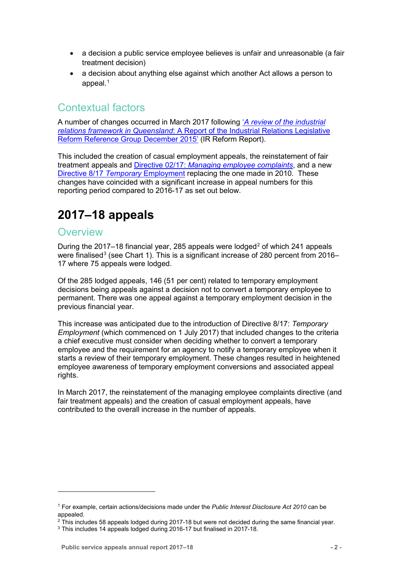- a decision a public service employee believes is unfair and unreasonable (a fair treatment decision)
- a decision about anything else against which another Act allows a person to appeal. $1$

## <span id="page-5-0"></span>Contextual factors

A number of changes occurred in March 2017 following '*[A review of the industrial](https://www.cabinet.qld.gov.au/documents/2016/Feb/IRRev/Attachments/Report.PDF)  relations framework in Queensland*[: A Report of the Industrial Relations Legislative](https://www.cabinet.qld.gov.au/documents/2016/Feb/IRRev/Attachments/Report.PDF)  [Reform Reference Group December 2015'](https://www.cabinet.qld.gov.au/documents/2016/Feb/IRRev/Attachments/Report.PDF) (IR Reform Report).

This included the creation of casual employment appeals, the reinstatement of fair treatment appeals and Directive 02/17: *[Managing employee complaints](https://www.forgov.qld.gov.au/documents/directive/0217/managing-employee-complaints)*, and a new [Directive 8/17](https://www.forgov.qld.gov.au/documents/directive/0817/temporary-employment) *Temporary* Employment replacing the one made in 2010. These changes have coincided with a significant increase in appeal numbers for this reporting period compared to 2016-17 as set out below.

# <span id="page-5-1"></span>**2017–18 appeals**

## <span id="page-5-2"></span>**Overview**

-

During the [2](#page-5-4)017–18 financial year, 285 appeals were lodged<sup>2</sup> of which 241 appeals were finalised<sup>[3](#page-5-5)</sup> (see Chart 1). This is a significant increase of 280 percent from 2016– 17 where 75 appeals were lodged.

Of the 285 lodged appeals, 146 (51 per cent) related to temporary employment decisions being appeals against a decision not to convert a temporary employee to permanent. There was one appeal against a temporary employment decision in the previous financial year.

This increase was anticipated due to the introduction of Directive 8/17: *Temporary Employment* (which commenced on 1 July 2017) that included changes to the criteria a chief executive must consider when deciding whether to convert a temporary employee and the requirement for an agency to notify a temporary employee when it starts a review of their temporary employment. These changes resulted in heightened employee awareness of temporary employment conversions and associated appeal rights.

In March 2017, the reinstatement of the managing employee complaints directive (and fair treatment appeals) and the creation of casual employment appeals, have contributed to the overall increase in the number of appeals.

<span id="page-5-3"></span><sup>1</sup> For example, certain actions/decisions made under the *Public Interest Disclosure Act 2010* can be appealed.

<span id="page-5-4"></span> $2$  This includes 58 appeals lodged during 2017-18 but were not decided during the same financial year.

<span id="page-5-5"></span><sup>&</sup>lt;sup>3</sup> This includes 14 appeals lodged during 2016-17 but finalised in 2017-18.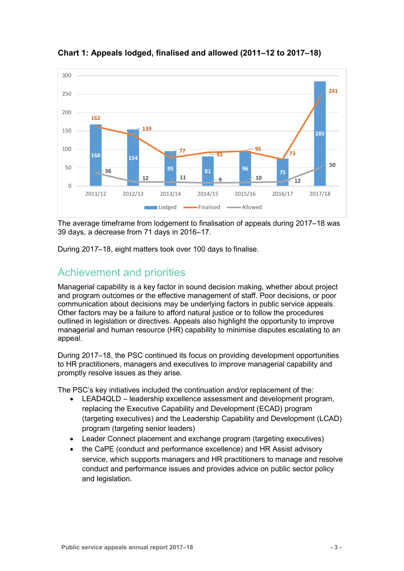

**Chart 1: Appeals lodged, finalised and allowed (2011–12 to 2017–18)** 

The average timeframe from lodgement to finalisation of appeals during 2017–18 was 39 days, a decrease from 71 days in 2016–17.

During 2017–18, eight matters took over 100 days to finalise.

## <span id="page-6-0"></span>Achievement and priorities

Managerial capability is a key factor in sound decision making, whether about project and program outcomes or the effective management of staff. Poor decisions, or poor communication about decisions may be underlying factors in public service appeals. Other factors may be a failure to afford natural justice or to follow the procedures outlined in legislation or directives. Appeals also highlight the opportunity to improve managerial and human resource (HR) capability to minimise disputes escalating to an appeal.

During 2017–18, the PSC continued its focus on providing development opportunities to HR practitioners, managers and executives to improve managerial capability and promptly resolve issues as they arise.

The PSC's key initiatives included the continuation and/or replacement of the:

- LEAD4QLD leadership excellence assessment and development program, replacing the Executive Capability and Development (ECAD) program (targeting executives) and the Leadership Capability and Development (LCAD) program (targeting senior leaders)
- Leader Connect placement and exchange program (targeting executives)
- the CaPE (conduct and performance excellence) and HR Assist advisory service, which supports managers and HR practitioners to manage and resolve conduct and performance issues and provides advice on public sector policy and legislation.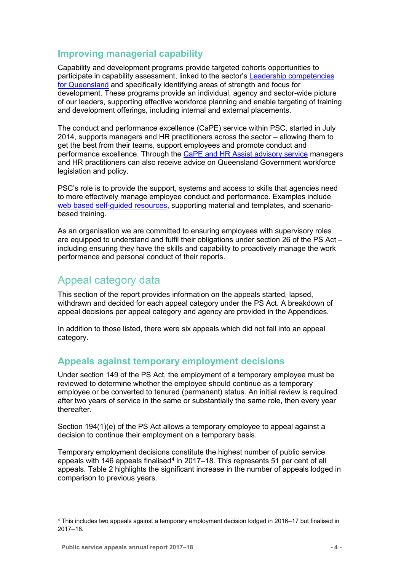## <span id="page-7-0"></span>**Improving managerial capability**

Capability and development programs provide targeted cohorts opportunities to participate in capability assessment, linked to the sector's [Leadership competencies](https://www.forgov.qld.gov.au/leadership-competencies-queensland)  [for Queensland](https://www.forgov.qld.gov.au/leadership-competencies-queensland) and specifically identifying areas of strength and focus for development. These programs provide an individual, agency and sector-wide picture of our leaders, supporting effective workforce planning and enable targeting of training and development offerings, including internal and external placements.

The conduct and performance excellence (CaPE) service within PSC, started in July 2014, supports managers and HR practitioners across the sector – allowing them to get the best from their teams, support employees and promote conduct and performance excellence. Through the [CaPE and HR Assist advisory service](https://www.forgov.qld.gov.au/request-advice-about-directives-policies-and-guidelines) managers and HR practitioners can also receive advice on Queensland Government workforce legislation and policy.

PSC's role is to provide the support, systems and access to skills that agencies need to more effectively manage employee conduct and performance. Examples include [web based self-guided resources,](https://www.forgov.qld.gov.au/find-resources-about-managing-employees) supporting material and templates, and scenariobased training.

As an organisation we are committed to ensuring employees with supervisory roles are equipped to understand and fulfil their obligations under section 26 of the PS Act – including ensuring they have the skills and capability to proactively manage the work performance and personal conduct of their reports.

## <span id="page-7-1"></span>Appeal category data

This section of the report provides information on the appeals started, lapsed, withdrawn and decided for each appeal category under the PS Act. A breakdown of appeal decisions per appeal category and agency are provided in the Appendices.

In addition to those listed, there were six appeals which did not fall into an appeal category.

## <span id="page-7-2"></span>**Appeals against temporary employment decisions**

Under section 149 of the PS Act, the employment of a temporary employee must be reviewed to determine whether the employee should continue as a temporary employee or be converted to tenured (permanent) status. An initial review is required after two years of service in the same or substantially the same role, then every year thereafter.

Section 194(1)(e) of the PS Act allows a temporary employee to appeal against a decision to continue their employment on a temporary basis.

Temporary employment decisions constitute the highest number of public service appeals with 1[4](#page-7-3)6 appeals finalised<sup>4</sup> in 2017–18. This represents 51 per cent of all appeals. Table 2 highlights the significant increase in the number of appeals lodged in comparison to previous years.

<u>.</u>

<span id="page-7-3"></span><sup>4</sup> This includes two appeals against a temporary employment decision lodged in 2016–17 but finalised in 2017–18.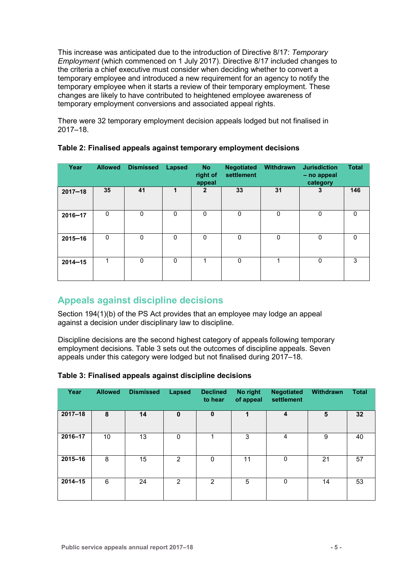This increase was anticipated due to the introduction of Directive 8/17: *Temporary Employment* (which commenced on 1 July 2017). Directive 8/17 included changes to the criteria a chief executive must consider when deciding whether to convert a temporary employee and introduced a new requirement for an agency to notify the temporary employee when it starts a review of their temporary employment. These changes are likely to have contributed to heightened employee awareness of temporary employment conversions and associated appeal rights.

There were 32 temporary employment decision appeals lodged but not finalised in 2017–18.

| Year        | <b>Allowed</b> | <b>Dismissed</b> | <b>Lapsed</b> | <b>No</b><br>right of<br>appeal | <b>Negotiated</b><br>settlement | Withdrawn   | <b>Jurisdiction</b><br>- no appeal<br>category | <b>Total</b> |
|-------------|----------------|------------------|---------------|---------------------------------|---------------------------------|-------------|------------------------------------------------|--------------|
| $2017 - 18$ | 35             | 41               | 1             | $\overline{2}$                  | 33                              | 31          | 3                                              | 146          |
| $2016 - 17$ | 0              | $\mathbf 0$      | 0             | $\Omega$                        | $\mathbf 0$                     | 0           | 0                                              | $\Omega$     |
| $2015 - 16$ | $\mathbf 0$    | $\mathbf 0$      | 0             | $\mathbf 0$                     | $\mathbf 0$                     | $\mathbf 0$ | $\mathbf 0$                                    | $\mathbf 0$  |
| $2014 - 15$ | 1              | $\mathbf 0$      | 0             | 1                               | $\Omega$                        |             | 0                                              | 3            |

#### **Table 2: Finalised appeals against temporary employment decisions**

## <span id="page-8-0"></span>**Appeals against discipline decisions**

Section 194(1)(b) of the PS Act provides that an employee may lodge an appeal against a decision under disciplinary law to discipline.

Discipline decisions are the second highest category of appeals following temporary employment decisions. Table 3 sets out the outcomes of discipline appeals. Seven appeals under this category were lodged but not finalised during 2017–18.

| Year        | <b>Allowed</b> | <b>Dismissed</b> | <b>Lapsed</b> | <b>Declined</b><br>to hear | No right<br>of appeal | <b>Negotiated</b><br>settlement | Withdrawn | <b>Total</b> |
|-------------|----------------|------------------|---------------|----------------------------|-----------------------|---------------------------------|-----------|--------------|
| $2017 - 18$ | 8              | 14               | $\mathbf 0$   | $\mathbf 0$                | 1                     | 4                               | 5         | 32           |
| 2016-17     | 10             | 13               | $\mathbf 0$   |                            | 3                     | 4                               | 9         | 40           |
| 2015-16     | 8              | 15               | 2             | $\mathbf 0$                | 11                    | $\mathbf 0$                     | 21        | 57           |
| $2014 - 15$ | 6              | 24               | 2             | 2                          | 5                     | $\mathbf 0$                     | 14        | 53           |

#### **Table 3: Finalised appeals against discipline decisions**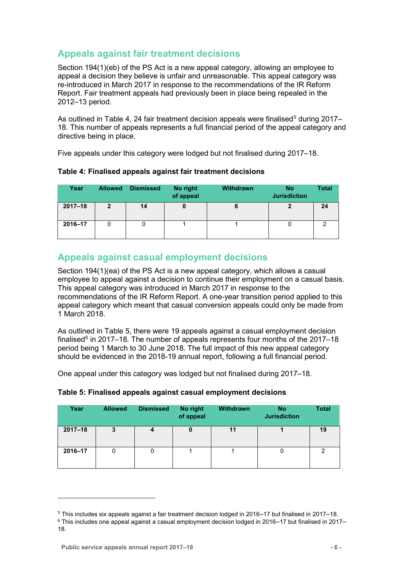## <span id="page-9-0"></span>**Appeals against fair treatment decisions**

Section 194(1)(eb) of the PS Act is a new appeal category, allowing an employee to appeal a decision they believe is unfair and unreasonable. This appeal category was re-introduced in March 2017 in response to the recommendations of the IR Reform Report. Fair treatment appeals had previously been in place being repealed in the 2012–13 period.

As outlined in Table 4, 24 fair treatment decision appeals were finalised<sup>[5](#page-9-2)</sup> during 2017– 18. This number of appeals represents a full financial period of the appeal category and directive being in place.

Five appeals under this category were lodged but not finalised during 2017–18.

| Year        | <b>Allowed</b> | <b>Dismissed</b> | No right<br>of appeal | <b>Withdrawn</b> | No<br><b>Jurisdiction</b> | <b>Total</b> |
|-------------|----------------|------------------|-----------------------|------------------|---------------------------|--------------|
| $2017 - 18$ | $\mathbf{2}$   | 14               | υ                     | О                |                           | 24           |
| 2016-17     |                |                  |                       |                  |                           |              |

## <span id="page-9-1"></span>**Appeals against casual employment decisions**

Section 194(1)(ea) of the PS Act is a new appeal category, which allows a casual employee to appeal against a decision to continue their employment on a casual basis. This appeal category was introduced in March 2017 in response to the recommendations of the IR Reform Report. A one-year transition period applied to this appeal category which meant that casual conversion appeals could only be made from 1 March 2018.

As outlined in Table 5, there were 19 appeals against a casual employment decision finalised $6$  in 2017–18. The number of appeals represents four months of the 2017–18 period being 1 March to 30 June 2018. The full impact of this new appeal category should be evidenced in the 2018-19 annual report, following a full financial period.

One appeal under this category was lodged but not finalised during 2017–18.

| Year        | <b>Allowed</b> | <b>Dismissed</b> | No right<br>of appeal | <b>Withdrawn</b> | <b>No</b><br><b>Jurisdiction</b> | Total |
|-------------|----------------|------------------|-----------------------|------------------|----------------------------------|-------|
| $2017 - 18$ | 3              |                  | U                     | 11               |                                  | 19    |
| 2016-17     |                |                  |                       |                  |                                  | ◠     |

#### **Table 5: Finalised appeals against casual employment decisions**

<u>.</u>

<span id="page-9-2"></span><sup>5</sup> This includes six appeals against a fair treatment decision lodged in 2016–17 but finalised in 2017–18.

<span id="page-9-3"></span> $6$  This includes one appeal against a casual employment decision lodged in 2016–17 but finalised in 2017– 18.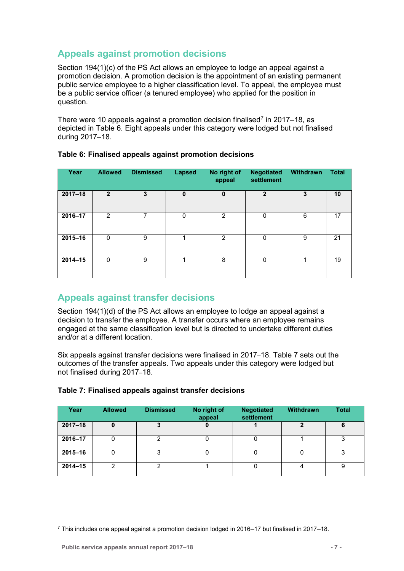## <span id="page-10-0"></span>**Appeals against promotion decisions**

Section 194(1)(c) of the PS Act allows an employee to lodge an appeal against a promotion decision. A promotion decision is the appointment of an existing permanent public service employee to a higher classification level. To appeal, the employee must be a public service officer (a tenured employee) who applied for the position in question.

There were 10 appeals against a promotion decision finalised<sup>[7](#page-10-2)</sup> in 2017–18, as depicted in Table 6. Eight appeals under this category were lodged but not finalised during 2017–18.

| Year        | <b>Allowed</b> | <b>Dismissed</b> | <b>Lapsed</b> | No right of<br>appeal | <b>Negotiated</b><br>settlement | Withdrawn | <b>Total</b> |
|-------------|----------------|------------------|---------------|-----------------------|---------------------------------|-----------|--------------|
| $2017 - 18$ | $\overline{2}$ | 3                | $\mathbf 0$   | $\mathbf 0$           | $\mathbf{2}$                    | 3         | 10           |
| 2016-17     | 2              | 7                | 0             | 2                     | 0                               | 6         | 17           |
| 2015-16     | $\Omega$       | 9                |               | $\overline{2}$        | 0                               | 9         | 21           |
| $2014 - 15$ | $\Omega$       | 9                | 1             | 8                     | $\Omega$                        |           | 19           |

#### **Table 6: Finalised appeals against promotion decisions**

## <span id="page-10-1"></span>**Appeals against transfer decisions**

Section 194(1)(d) of the PS Act allows an employee to lodge an appeal against a decision to transfer the employee. A transfer occurs where an employee remains engaged at the same classification level but is directed to undertake different duties and/or at a different location.

Six appeals against transfer decisions were finalised in 2017–18. Table 7 sets out the outcomes of the transfer appeals. Two appeals under this category were lodged but not finalised during 2017–18.

| Year        | <b>Allowed</b> | <b>Dismissed</b> | No right of<br>appeal | <b>Negotiated</b><br>settlement | Withdrawn | <b>Total</b> |
|-------------|----------------|------------------|-----------------------|---------------------------------|-----------|--------------|
| $2017 - 18$ | 0              |                  | 0                     |                                 | າ         | 6            |
| 2016-17     |                | っ                | 0                     |                                 |           | 3            |
| 2015-16     |                |                  | 0                     |                                 |           | 3            |
| $2014 - 15$ | ◠              | ◠                |                       |                                 |           | 9            |

#### **Table 7: Finalised appeals against transfer decisions**

-

<span id="page-10-2"></span><sup>7</sup> This includes one appeal against a promotion decision lodged in 2016–17 but finalised in 2017–18.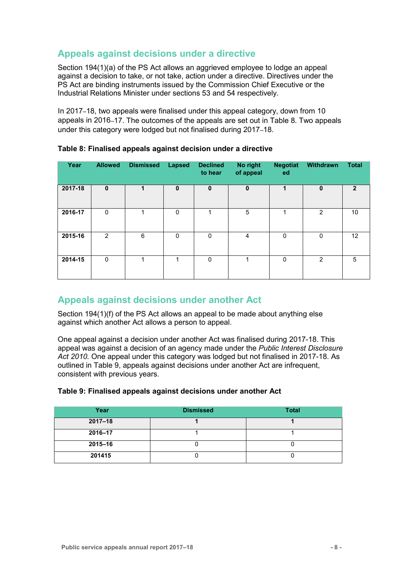## <span id="page-11-0"></span>**Appeals against decisions under a directive**

Section 194(1)(a) of the PS Act allows an aggrieved employee to lodge an appeal against a decision to take, or not take, action under a directive. Directives under the PS Act are binding instruments issued by the Commission Chief Executive or the Industrial Relations Minister under sections 53 and 54 respectively.

In 2017–18, two appeals were finalised under this appeal category, down from 10 appeals in 2016–17. The outcomes of the appeals are set out in Table 8. Two appeals under this category were lodged but not finalised during 2017–18.

| Year    | <b>Allowed</b> | <b>Dismissed</b> | <b>Lapsed</b> | <b>Declined</b><br>to hear | No right<br>of appeal | <b>Negotiat</b><br>ed | Withdrawn    | <b>Total</b>    |
|---------|----------------|------------------|---------------|----------------------------|-----------------------|-----------------------|--------------|-----------------|
| 2017-18 | $\mathbf{0}$   |                  | $\mathbf{0}$  | $\mathbf 0$                | $\mathbf 0$           |                       | $\mathbf{0}$ | $\mathbf{2}$    |
| 2016-17 | $\mathbf 0$    | 1                | $\Omega$      |                            | 5                     | 1                     | 2            | 10 <sup>1</sup> |
| 2015-16 | $\overline{2}$ | 6                | $\Omega$      | 0                          | $\overline{4}$        | 0                     | $\mathbf 0$  | 12              |
| 2014-15 | $\mathbf{0}$   | 1                | 1             | $\Omega$                   | 1                     | $\Omega$              | 2            | 5               |

#### **Table 8: Finalised appeals against decision under a directive**

### <span id="page-11-1"></span>**Appeals against decisions under another Act**

Section 194(1)(f) of the PS Act allows an appeal to be made about anything else against which another Act allows a person to appeal.

One appeal against a decision under another Act was finalised during 2017-18. This appeal was against a decision of an agency made under the *Public Interest Disclosure Act 2010.* One appeal under this category was lodged but not finalised in 2017-18. As outlined in Table 9, appeals against decisions under another Act are infrequent, consistent with previous years.

| Year        | <b>Dismissed</b> | <b>Total</b> |
|-------------|------------------|--------------|
| $2017 - 18$ |                  |              |
| 2016-17     |                  |              |
| 2015-16     |                  |              |
| 201415      |                  |              |

#### **Table 9: Finalised appeals against decisions under another Act**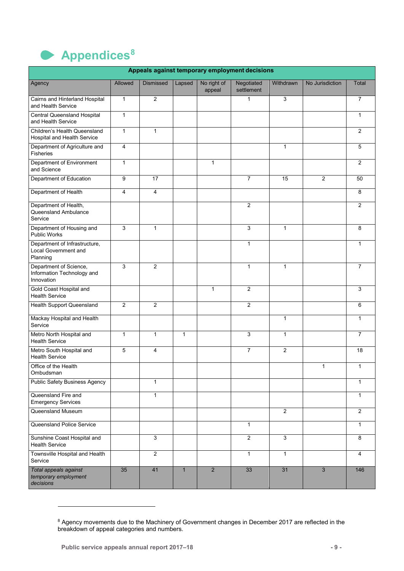<span id="page-12-0"></span>

| Appeals against temporary employment decisions                     |                |                  |              |                       |                          |                |                 |                |  |  |
|--------------------------------------------------------------------|----------------|------------------|--------------|-----------------------|--------------------------|----------------|-----------------|----------------|--|--|
| Agency                                                             | Allowed        | <b>Dismissed</b> | Lapsed       | No right of<br>appeal | Negotiated<br>settlement | Withdrawn      | No Jurisdiction | Total          |  |  |
| Cairns and Hinterland Hospital<br>and Health Service               | $\mathbf{1}$   | $\overline{2}$   |              |                       | $\mathbf{1}$             | 3              |                 | 7              |  |  |
| <b>Central Queensland Hospital</b><br>and Health Service           | $\mathbf{1}$   |                  |              |                       |                          |                |                 | $\mathbf{1}$   |  |  |
| Children's Health Queensland<br>Hospital and Health Service        | $\mathbf{1}$   | $\mathbf{1}$     |              |                       |                          |                |                 | 2              |  |  |
| Department of Agriculture and<br><b>Fisheries</b>                  | 4              |                  |              |                       |                          | $\mathbf{1}$   |                 | 5              |  |  |
| Department of Environment<br>and Science                           | $\mathbf{1}$   |                  |              | $\mathbf{1}$          |                          |                |                 | $\overline{2}$ |  |  |
| Department of Education                                            | 9              | 17               |              |                       | $\overline{7}$           | 15             | $\overline{2}$  | 50             |  |  |
| Department of Health                                               | $\overline{4}$ | 4                |              |                       |                          |                |                 | 8              |  |  |
| Department of Health,<br>Queensland Ambulance<br>Service           |                |                  |              |                       | $\overline{2}$           |                |                 | $\overline{2}$ |  |  |
| Department of Housing and<br>Public Works                          | 3              | $\mathbf{1}$     |              |                       | 3                        | $\mathbf{1}$   |                 | 8              |  |  |
| Department of Infrastructure,<br>Local Government and<br>Planning  |                |                  |              |                       | $\mathbf{1}$             |                |                 | $\mathbf{1}$   |  |  |
| Department of Science,<br>Information Technology and<br>Innovation | 3              | $\overline{2}$   |              |                       | $\mathbf{1}$             | $\mathbf{1}$   |                 | $\overline{7}$ |  |  |
| Gold Coast Hospital and<br><b>Health Service</b>                   |                |                  |              | $\mathbf{1}$          | $\overline{2}$           |                |                 | 3              |  |  |
| <b>Health Support Queensland</b>                                   | 2              | $\overline{c}$   |              |                       | 2                        |                |                 | 6              |  |  |
| Mackay Hospital and Health<br>Service                              |                |                  |              |                       |                          | $\mathbf{1}$   |                 | $\mathbf{1}$   |  |  |
| Metro North Hospital and<br><b>Health Service</b>                  | $\mathbf{1}$   | $\mathbf{1}$     | $\mathbf{1}$ |                       | 3                        | $\mathbf{1}$   |                 | $\overline{7}$ |  |  |
| Metro South Hospital and<br><b>Health Service</b>                  | 5              | 4                |              |                       | $\overline{7}$           | $\overline{2}$ |                 | 18             |  |  |
| Office of the Health<br>Ombudsman                                  |                |                  |              |                       |                          |                | 1               | $\mathbf{1}$   |  |  |
| <b>Public Safety Business Agency</b>                               |                | $\mathbf{1}$     |              |                       |                          |                |                 | $\mathbf{1}$   |  |  |
| Queensland Fire and<br><b>Emergency Services</b>                   |                | $\mathbf{1}$     |              |                       |                          |                |                 | $\mathbf{1}$   |  |  |
| Queensland Museum                                                  |                |                  |              |                       |                          | $\overline{2}$ |                 | $\overline{2}$ |  |  |
| Queensland Police Service                                          |                |                  |              |                       | $\mathbf{1}$             |                |                 | $\mathbf{1}$   |  |  |
| Sunshine Coast Hospital and<br><b>Health Service</b>               |                | $\mathfrak{S}$   |              |                       | 2                        | 3              |                 | 8              |  |  |
| Townsville Hospital and Health<br>Service                          |                | $\overline{2}$   |              |                       | $\mathbf{1}$             | $\mathbf{1}$   |                 | $\overline{4}$ |  |  |
| Total appeals against<br>temporary employment<br>decisions         | 35             | 41               | $\mathbf{1}$ | $\overline{2}$        | 33                       | 31             | 3               | 146            |  |  |

<u>.</u>

<span id="page-12-1"></span> $^8$  Agency movements due to the Machinery of Government changes in December 2017 are reflected in the breakdown of appeal categories and numbers.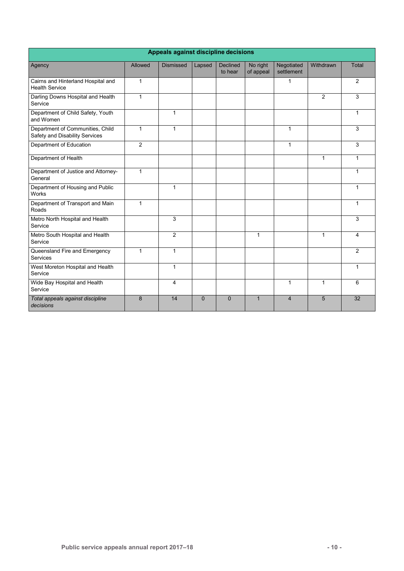| Appeals against discipline decisions                               |              |                  |             |                            |                       |                          |                |              |  |  |
|--------------------------------------------------------------------|--------------|------------------|-------------|----------------------------|-----------------------|--------------------------|----------------|--------------|--|--|
| Agency                                                             | Allowed      | <b>Dismissed</b> | Lapsed      | <b>Declined</b><br>to hear | No right<br>of appeal | Negotiated<br>settlement | Withdrawn      | Total        |  |  |
| Cairns and Hinterland Hospital and<br><b>Health Service</b>        | 1            |                  |             |                            |                       | $\mathbf{1}$             |                | 2            |  |  |
| Darling Downs Hospital and Health<br>Service                       | $\mathbf{1}$ |                  |             |                            |                       |                          | $\overline{2}$ | 3            |  |  |
| Department of Child Safety, Youth<br>and Women                     |              | 1                |             |                            |                       |                          |                | $\mathbf 1$  |  |  |
| Department of Communities, Child<br>Safety and Disability Services | $\mathbf{1}$ | 1                |             |                            |                       | $\mathbf{1}$             |                | 3            |  |  |
| Department of Education                                            | 2            |                  |             |                            |                       | $\mathbf{1}$             |                | 3            |  |  |
| Department of Health                                               |              |                  |             |                            |                       |                          | $\mathbf{1}$   | $\mathbf{1}$ |  |  |
| Department of Justice and Attorney-<br>General                     | $\mathbf{1}$ |                  |             |                            |                       |                          |                | $\mathbf 1$  |  |  |
| Department of Housing and Public<br>Works                          |              | $\mathbf{1}$     |             |                            |                       |                          |                | $\mathbf 1$  |  |  |
| Department of Transport and Main<br>Roads                          | $\mathbf{1}$ |                  |             |                            |                       |                          |                | $\mathbf 1$  |  |  |
| Metro North Hospital and Health<br>Service                         |              | 3                |             |                            |                       |                          |                | 3            |  |  |
| Metro South Hospital and Health<br>Service                         |              | $\overline{2}$   |             |                            | 1                     |                          | 1              | 4            |  |  |
| Queensland Fire and Emergency<br>Services                          | $\mathbf{1}$ | $\mathbf{1}$     |             |                            |                       |                          |                | 2            |  |  |
| West Moreton Hospital and Health<br>Service                        |              | 1                |             |                            |                       |                          |                | $\mathbf 1$  |  |  |
| Wide Bay Hospital and Health<br>Service                            |              | $\overline{4}$   |             |                            |                       | $\mathbf{1}$             | $\mathbf{1}$   | 6            |  |  |
| Total appeals against discipline<br>decisions                      | 8            | 14               | $\mathbf 0$ | $\mathbf 0$                | $\mathbf{1}$          | $\overline{4}$           | 5              | 32           |  |  |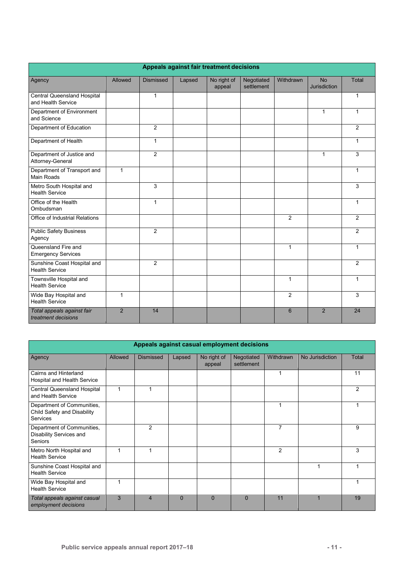|                                                      | Appeals against fair treatment decisions |                  |        |                       |                          |                 |                           |                |  |  |  |
|------------------------------------------------------|------------------------------------------|------------------|--------|-----------------------|--------------------------|-----------------|---------------------------|----------------|--|--|--|
| Agency                                               | Allowed                                  | <b>Dismissed</b> | Lapsed | No right of<br>appeal | Negotiated<br>settlement | Withdrawn       | <b>No</b><br>Jurisdiction | Total          |  |  |  |
| Central Queensland Hospital<br>and Health Service    |                                          | $\mathbf{1}$     |        |                       |                          |                 |                           | $\mathbf{1}$   |  |  |  |
| Department of Environment<br>and Science             |                                          |                  |        |                       |                          |                 | $\mathbf{1}$              | $\mathbf{1}$   |  |  |  |
| Department of Education                              |                                          | $\overline{2}$   |        |                       |                          |                 |                           | $\overline{2}$ |  |  |  |
| Department of Health                                 |                                          | $\mathbf{1}$     |        |                       |                          |                 |                           | $\mathbf{1}$   |  |  |  |
| Department of Justice and<br>Attorney-General        |                                          | $\overline{2}$   |        |                       |                          |                 | $\mathbf{1}$              | 3              |  |  |  |
| Department of Transport and<br><b>Main Roads</b>     | $\mathbf{1}$                             |                  |        |                       |                          |                 |                           | $\mathbf{1}$   |  |  |  |
| Metro South Hospital and<br><b>Health Service</b>    |                                          | $\overline{3}$   |        |                       |                          |                 |                           | 3              |  |  |  |
| Office of the Health<br>Ombudsman                    |                                          | $\mathbf{1}$     |        |                       |                          |                 |                           | $\mathbf{1}$   |  |  |  |
| Office of Industrial Relations                       |                                          |                  |        |                       |                          | $\overline{2}$  |                           | $\overline{2}$ |  |  |  |
| <b>Public Safety Business</b><br>Agency              |                                          | 2                |        |                       |                          |                 |                           | $\overline{2}$ |  |  |  |
| Queensland Fire and<br><b>Emergency Services</b>     |                                          |                  |        |                       |                          | $\mathbf{1}$    |                           | $\mathbf{1}$   |  |  |  |
| Sunshine Coast Hospital and<br><b>Health Service</b> |                                          | 2                |        |                       |                          |                 |                           | 2              |  |  |  |
| Townsville Hospital and<br><b>Health Service</b>     |                                          |                  |        |                       |                          | $\mathbf{1}$    |                           | $\mathbf 1$    |  |  |  |
| Wide Bay Hospital and<br><b>Health Service</b>       | $\mathbf{1}$                             |                  |        |                       |                          | $\mathfrak{p}$  |                           | 3              |  |  |  |
| Total appeals against fair<br>treatment decisions    | $\overline{2}$                           | 14               |        |                       |                          | $6\phantom{1}6$ | $\overline{2}$            | 24             |  |  |  |

| Appeals against casual employment decisions                           |         |                |          |                       |                          |                |                 |       |  |  |
|-----------------------------------------------------------------------|---------|----------------|----------|-----------------------|--------------------------|----------------|-----------------|-------|--|--|
| Agency                                                                | Allowed | Dismissed      | Lapsed   | No right of<br>appeal | Negotiated<br>settlement | Withdrawn      | No Jurisdiction | Total |  |  |
| Cairns and Hinterland<br>Hospital and Health Service                  |         |                |          |                       |                          | 1              |                 | 11    |  |  |
| Central Queensland Hospital<br>and Health Service                     | 1       |                |          |                       |                          |                |                 | 2     |  |  |
| Department of Communities,<br>Child Safety and Disability<br>Services |         |                |          |                       |                          | 1              |                 |       |  |  |
| Department of Communities,<br>Disability Services and<br>Seniors      |         | $\mathcal{P}$  |          |                       |                          | $\overline{7}$ |                 | 9     |  |  |
| Metro North Hospital and<br><b>Health Service</b>                     | 1       | 1              |          |                       |                          | $\overline{2}$ |                 | 3     |  |  |
| Sunshine Coast Hospital and<br><b>Health Service</b>                  |         |                |          |                       |                          |                |                 |       |  |  |
| Wide Bay Hospital and<br><b>Health Service</b>                        | 1       |                |          |                       |                          |                |                 |       |  |  |
| Total appeals against casual<br>employment decisions                  | 3       | $\overline{4}$ | $\Omega$ | $\Omega$              | $\Omega$                 | 11             |                 | 19    |  |  |